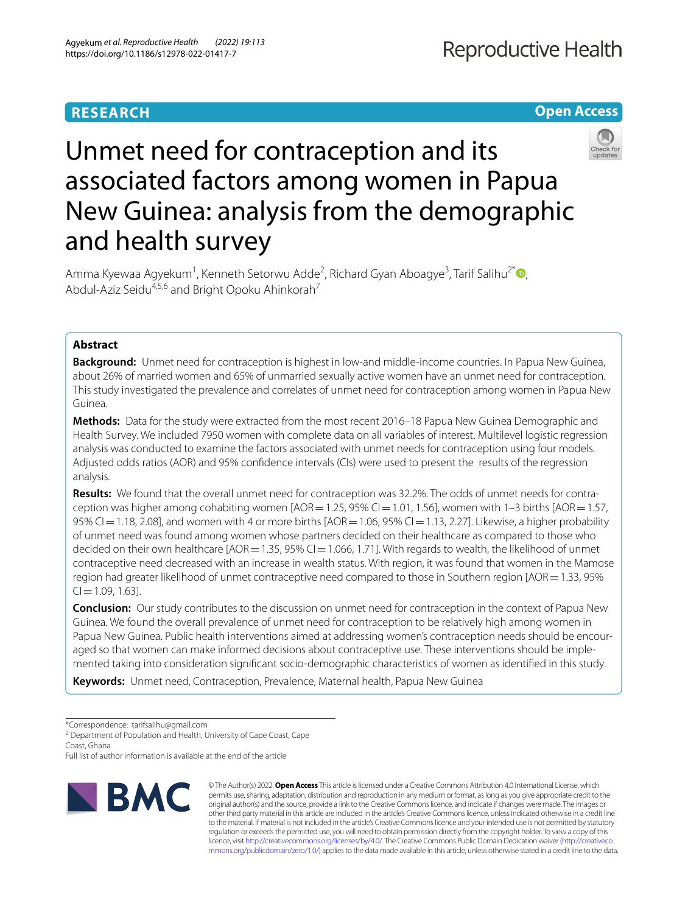# **RESEARCH**





# Unmet need for contraception and its associated factors among women in Papua New Guinea: analysis from the demographic and health survey

Amma Kyewaa Agyekum<sup>1</sup>[,](http://orcid.org/0000-0002-0438-5193) Kenneth Setorwu Adde<sup>2</sup>, Richard Gyan Aboagye<sup>3</sup>, Tarif Salihu<sup>2\*</sup> <sup>(D</sup>, Abdul-Aziz Seidu<sup>4,5,6</sup> and Bright Opoku Ahinkorah<sup>7</sup>

# **Abstract**

**Background:** Unmet need for contraception is highest in low-and middle-income countries. In Papua New Guinea, about 26% of married women and 65% of unmarried sexually active women have an unmet need for contraception. This study investigated the prevalence and correlates of unmet need for contraception among women in Papua New Guinea.

**Methods:** Data for the study were extracted from the most recent 2016–18 Papua New Guinea Demographic and Health Survey. We included 7950 women with complete data on all variables of interest. Multilevel logistic regression analysis was conducted to examine the factors associated with unmet needs for contraception using four models. Adjusted odds ratios (AOR) and 95% confdence intervals (CIs) were used to present the results of the regression analysis.

Results: We found that the overall unmet need for contraception was 32.2%. The odds of unmet needs for contraception was higher among cohabiting women  $[AOR=1.25, 95\%$  CI $=1.01, 1.56$ ], women with 1–3 births  $[AOR=1.57, 1.56]$ 95% CI = 1.18, 2.08], and women with 4 or more births  $[AOR=1.06, 95%$  CI = 1.13, 2.27]. Likewise, a higher probability of unmet need was found among women whose partners decided on their healthcare as compared to those who decided on their own healthcare  $[AOR=1.35, 95\%$  CI = 1.066, 1.71]. With regards to wealth, the likelihood of unmet contraceptive need decreased with an increase in wealth status. With region, it was found that women in the Mamose region had greater likelihood of unmet contraceptive need compared to those in Southern region [AOR = 1.33, 95%  $Cl = 1.09, 1.63$ ].

**Conclusion:** Our study contributes to the discussion on unmet need for contraception in the context of Papua New Guinea. We found the overall prevalence of unmet need for contraception to be relatively high among women in Papua New Guinea. Public health interventions aimed at addressing women's contraception needs should be encouraged so that women can make informed decisions about contraceptive use. These interventions should be implemented taking into consideration signifcant socio-demographic characteristics of women as identifed in this study.

**Keywords:** Unmet need, Contraception, Prevalence, Maternal health, Papua New Guinea

<sup>2</sup> Department of Population and Health, University of Cape Coast, Cape Coast, Ghana

Full list of author information is available at the end of the article



© The Author(s) 2022. **Open Access** This article is licensed under a Creative Commons Attribution 4.0 International License, which permits use, sharing, adaptation, distribution and reproduction in any medium or format, as long as you give appropriate credit to the original author(s) and the source, provide a link to the Creative Commons licence, and indicate if changes were made. The images or other third party material in this article are included in the article's Creative Commons licence, unless indicated otherwise in a credit line to the material. If material is not included in the article's Creative Commons licence and your intended use is not permitted by statutory regulation or exceeds the permitted use, you will need to obtain permission directly from the copyright holder. To view a copy of this licence, visi[t http://creativecommons.org/licenses/by/4.0/.](http://creativecommons.org/licenses/by/4.0/) The Creative Commons Public Domain Dedication waiver ([http://creativeco](http://creativecommons.org/publicdomain/zero/1.0/) [mmons.org/publicdomain/zero/1.0/](http://creativecommons.org/publicdomain/zero/1.0/)) applies to the data made available in this article, unless otherwise stated in a credit line to the data.

<sup>\*</sup>Correspondence: tarifsalihu@gmail.com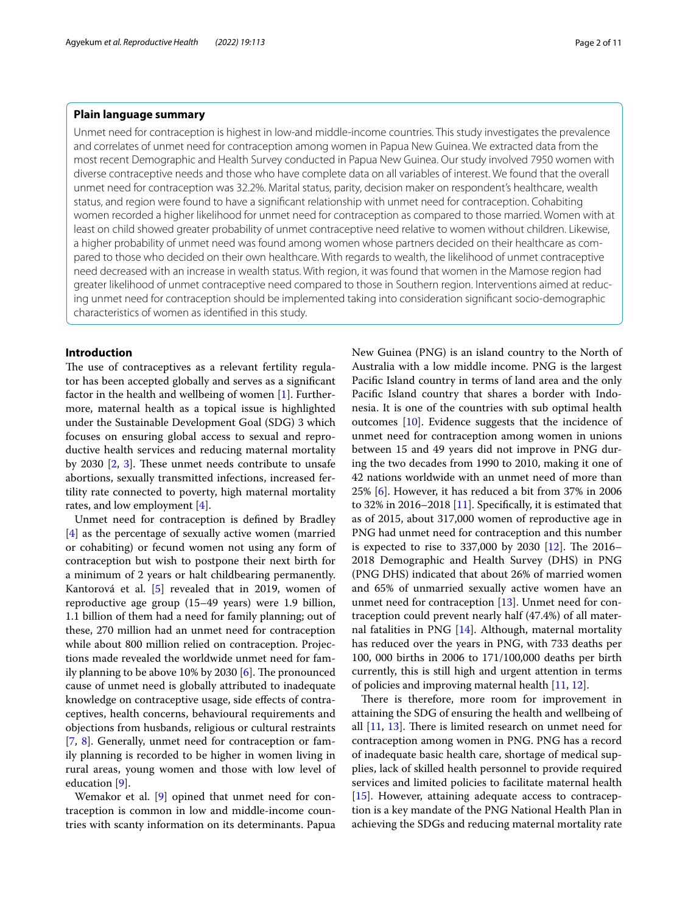# **Plain language summary**

Unmet need for contraception is highest in low-and middle-income countries. This study investigates the prevalence and correlates of unmet need for contraception among women in Papua New Guinea. We extracted data from the most recent Demographic and Health Survey conducted in Papua New Guinea. Our study involved 7950 women with diverse contraceptive needs and those who have complete data on all variables of interest. We found that the overall unmet need for contraception was 32.2%. Marital status, parity, decision maker on respondent's healthcare, wealth status, and region were found to have a signifcant relationship with unmet need for contraception. Cohabiting women recorded a higher likelihood for unmet need for contraception as compared to those married. Women with at least on child showed greater probability of unmet contraceptive need relative to women without children. Likewise, a higher probability of unmet need was found among women whose partners decided on their healthcare as compared to those who decided on their own healthcare. With regards to wealth, the likelihood of unmet contraceptive need decreased with an increase in wealth status. With region, it was found that women in the Mamose region had greater likelihood of unmet contraceptive need compared to those in Southern region. Interventions aimed at reducing unmet need for contraception should be implemented taking into consideration signifcant socio-demographic characteristics of women as identifed in this study.

# **Introduction**

The use of contraceptives as a relevant fertility regulator has been accepted globally and serves as a signifcant factor in the health and wellbeing of women [\[1](#page-9-0)]. Furthermore, maternal health as a topical issue is highlighted under the Sustainable Development Goal (SDG) 3 which focuses on ensuring global access to sexual and reproductive health services and reducing maternal mortality by 2030  $[2, 3]$  $[2, 3]$  $[2, 3]$ . These unmet needs contribute to unsafe abortions, sexually transmitted infections, increased fertility rate connected to poverty, high maternal mortality rates, and low employment [[4](#page-9-3)].

Unmet need for contraception is defned by Bradley [[4\]](#page-9-3) as the percentage of sexually active women (married or cohabiting) or fecund women not using any form of contraception but wish to postpone their next birth for a minimum of 2 years or halt childbearing permanently. Kantorová et al. [\[5](#page-9-4)] revealed that in 2019, women of reproductive age group (15–49 years) were 1.9 billion, 1.1 billion of them had a need for family planning; out of these, 270 million had an unmet need for contraception while about 800 million relied on contraception. Projections made revealed the worldwide unmet need for family planning to be above 10% by 2030  $[6]$  $[6]$ . The pronounced cause of unmet need is globally attributed to inadequate knowledge on contraceptive usage, side efects of contraceptives, health concerns, behavioural requirements and objections from husbands, religious or cultural restraints [[7,](#page-9-6) [8](#page-9-7)]. Generally, unmet need for contraception or family planning is recorded to be higher in women living in rural areas, young women and those with low level of education [[9\]](#page-9-8).

Wemakor et al. [[9\]](#page-9-8) opined that unmet need for contraception is common in low and middle-income countries with scanty information on its determinants. Papua New Guinea (PNG) is an island country to the North of Australia with a low middle income. PNG is the largest Pacifc Island country in terms of land area and the only Pacifc Island country that shares a border with Indonesia. It is one of the countries with sub optimal health outcomes [[10\]](#page-9-9). Evidence suggests that the incidence of unmet need for contraception among women in unions between 15 and 49 years did not improve in PNG during the two decades from 1990 to 2010, making it one of 42 nations worldwide with an unmet need of more than 25% [[6](#page-9-5)]. However, it has reduced a bit from 37% in 2006 to 32% in 2016–2018 [[11](#page-9-10)]. Specifcally, it is estimated that as of 2015, about 317,000 women of reproductive age in PNG had unmet need for contraception and this number is expected to rise to 337,000 by 2030  $[12]$  $[12]$  $[12]$ . The 2016– 2018 Demographic and Health Survey (DHS) in PNG (PNG DHS) indicated that about 26% of married women and 65% of unmarried sexually active women have an unmet need for contraception [[13\]](#page-9-12). Unmet need for contraception could prevent nearly half (47.4%) of all maternal fatalities in PNG  $[14]$  $[14]$ . Although, maternal mortality has reduced over the years in PNG, with 733 deaths per 100, 000 births in 2006 to 171/100,000 deaths per birth currently, this is still high and urgent attention in terms of policies and improving maternal health [[11](#page-9-10), [12\]](#page-9-11).

There is therefore, more room for improvement in attaining the SDG of ensuring the health and wellbeing of all  $[11, 13]$  $[11, 13]$  $[11, 13]$  $[11, 13]$ . There is limited research on unmet need for contraception among women in PNG. PNG has a record of inadequate basic health care, shortage of medical supplies, lack of skilled health personnel to provide required services and limited policies to facilitate maternal health  $[15]$  $[15]$ . However, attaining adequate access to contraception is a key mandate of the PNG National Health Plan in achieving the SDGs and reducing maternal mortality rate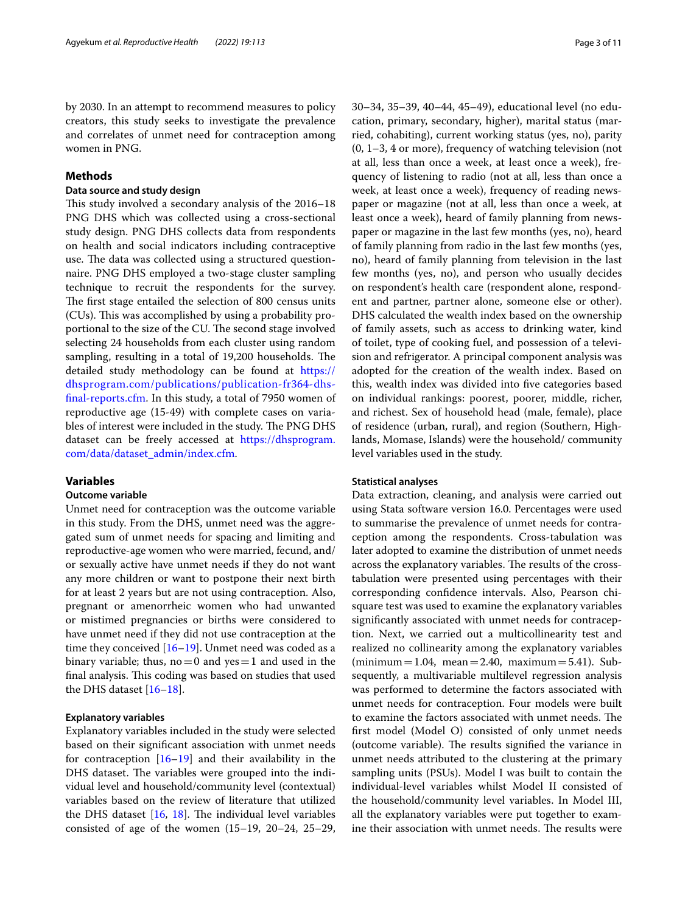by 2030. In an attempt to recommend measures to policy creators, this study seeks to investigate the prevalence and correlates of unmet need for contraception among women in PNG.

# **Methods**

# **Data source and study design**

This study involved a secondary analysis of the 2016–18 PNG DHS which was collected using a cross-sectional study design. PNG DHS collects data from respondents on health and social indicators including contraceptive use. The data was collected using a structured questionnaire. PNG DHS employed a two-stage cluster sampling technique to recruit the respondents for the survey. The first stage entailed the selection of 800 census units (CUs). This was accomplished by using a probability proportional to the size of the CU. The second stage involved selecting 24 households from each cluster using random sampling, resulting in a total of 19,200 households. The detailed study methodology can be found at [https://](https://dhsprogram.com/publications/publication-fr364-dhs-final-reports.cfm) [dhsprogram.com/publications/publication-fr364-dhs](https://dhsprogram.com/publications/publication-fr364-dhs-final-reports.cfm)[fnal-reports.cfm](https://dhsprogram.com/publications/publication-fr364-dhs-final-reports.cfm). In this study, a total of 7950 women of reproductive age (15-49) with complete cases on variables of interest were included in the study. The PNG DHS dataset can be freely accessed at [https://dhsprogram.](https://dhsprogram.com/data/dataset_admin/index.cfm) [com/data/dataset\\_admin/index.cfm](https://dhsprogram.com/data/dataset_admin/index.cfm).

# **Variables**

#### **Outcome variable**

Unmet need for contraception was the outcome variable in this study. From the DHS, unmet need was the aggregated sum of unmet needs for spacing and limiting and reproductive-age women who were married, fecund, and/ or sexually active have unmet needs if they do not want any more children or want to postpone their next birth for at least 2 years but are not using contraception. Also, pregnant or amenorrheic women who had unwanted or mistimed pregnancies or births were considered to have unmet need if they did not use contraception at the time they conceived [\[16–](#page-9-15)[19\]](#page-9-16). Unmet need was coded as a binary variable; thus,  $no = 0$  and  $yes = 1$  and used in the final analysis. This coding was based on studies that used the DHS dataset [[16–](#page-9-15)[18\]](#page-9-17).

# **Explanatory variables**

Explanatory variables included in the study were selected based on their signifcant association with unmet needs for contraception  $[16–19]$  $[16–19]$  and their availability in the DHS dataset. The variables were grouped into the individual level and household/community level (contextual) variables based on the review of literature that utilized the DHS dataset  $[16, 18]$  $[16, 18]$  $[16, 18]$ . The individual level variables consisted of age of the women (15–19, 20–24, 25–29, 30–34, 35–39, 40–44, 45–49), educational level (no education, primary, secondary, higher), marital status (married, cohabiting), current working status (yes, no), parity (0, 1–3, 4 or more), frequency of watching television (not at all, less than once a week, at least once a week), frequency of listening to radio (not at all, less than once a week, at least once a week), frequency of reading newspaper or magazine (not at all, less than once a week, at least once a week), heard of family planning from newspaper or magazine in the last few months (yes, no), heard of family planning from radio in the last few months (yes, no), heard of family planning from television in the last few months (yes, no), and person who usually decides on respondent's health care (respondent alone, respondent and partner, partner alone, someone else or other). DHS calculated the wealth index based on the ownership of family assets, such as access to drinking water, kind of toilet, type of cooking fuel, and possession of a television and refrigerator. A principal component analysis was adopted for the creation of the wealth index. Based on this, wealth index was divided into fve categories based on individual rankings: poorest, poorer, middle, richer, and richest. Sex of household head (male, female), place of residence (urban, rural), and region (Southern, Highlands, Momase, Islands) were the household/ community level variables used in the study.

#### **Statistical analyses**

Data extraction, cleaning, and analysis were carried out using Stata software version 16.0. Percentages were used to summarise the prevalence of unmet needs for contraception among the respondents. Cross-tabulation was later adopted to examine the distribution of unmet needs across the explanatory variables. The results of the crosstabulation were presented using percentages with their corresponding confdence intervals. Also, Pearson chisquare test was used to examine the explanatory variables signifcantly associated with unmet needs for contraception. Next, we carried out a multicollinearity test and realized no collinearity among the explanatory variables  $(\text{minimum} = 1.04, \text{ mean} = 2.40, \text{ maximum} = 5.41).$  Subsequently, a multivariable multilevel regression analysis was performed to determine the factors associated with unmet needs for contraception. Four models were built to examine the factors associated with unmet needs. The frst model (Model O) consisted of only unmet needs (outcome variable). The results signified the variance in unmet needs attributed to the clustering at the primary sampling units (PSUs). Model I was built to contain the individual-level variables whilst Model II consisted of the household/community level variables. In Model III, all the explanatory variables were put together to examine their association with unmet needs. The results were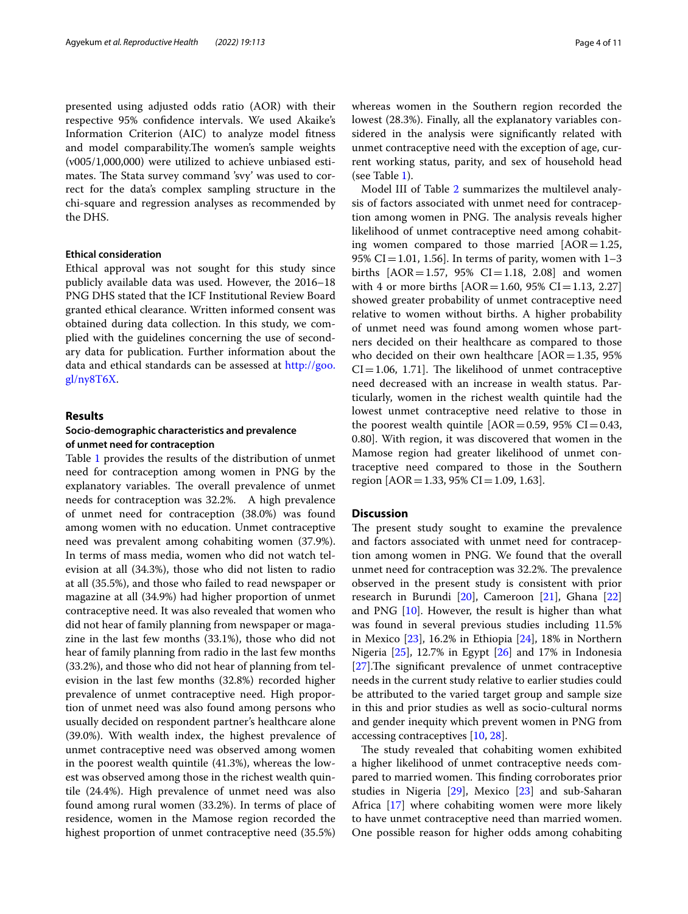presented using adjusted odds ratio (AOR) with their respective 95% confdence intervals. We used Akaike's Information Criterion (AIC) to analyze model ftness and model comparability. The women's sample weights (v005/1,000,000) were utilized to achieve unbiased estimates. The Stata survey command 'svy' was used to correct for the data's complex sampling structure in the chi-square and regression analyses as recommended by the DHS.

## **Ethical consideration**

Ethical approval was not sought for this study since publicly available data was used. However, the 2016–18 PNG DHS stated that the ICF Institutional Review Board granted ethical clearance. Written informed consent was obtained during data collection. In this study, we complied with the guidelines concerning the use of secondary data for publication. Further information about the data and ethical standards can be assessed at [http://goo.](http://goo.gl/ny8T6X) [gl/ny8T6X.](http://goo.gl/ny8T6X)

#### **Results**

# **Socio‑demographic characteristics and prevalence of unmet need for contraception**

Table [1](#page-4-0) provides the results of the distribution of unmet need for contraception among women in PNG by the explanatory variables. The overall prevalence of unmet needs for contraception was 32.2%. A high prevalence of unmet need for contraception (38.0%) was found among women with no education. Unmet contraceptive need was prevalent among cohabiting women (37.9%). In terms of mass media, women who did not watch television at all (34.3%), those who did not listen to radio at all (35.5%), and those who failed to read newspaper or magazine at all (34.9%) had higher proportion of unmet contraceptive need. It was also revealed that women who did not hear of family planning from newspaper or magazine in the last few months (33.1%), those who did not hear of family planning from radio in the last few months (33.2%), and those who did not hear of planning from television in the last few months (32.8%) recorded higher prevalence of unmet contraceptive need. High proportion of unmet need was also found among persons who usually decided on respondent partner's healthcare alone (39.0%). With wealth index, the highest prevalence of unmet contraceptive need was observed among women in the poorest wealth quintile (41.3%), whereas the lowest was observed among those in the richest wealth quintile (24.4%). High prevalence of unmet need was also found among rural women (33.2%). In terms of place of residence, women in the Mamose region recorded the highest proportion of unmet contraceptive need (35.5%) whereas women in the Southern region recorded the lowest (28.3%). Finally, all the explanatory variables considered in the analysis were signifcantly related with unmet contraceptive need with the exception of age, current working status, parity, and sex of household head (see Table [1\)](#page-4-0).

Model III of Table [2](#page-6-0) summarizes the multilevel analysis of factors associated with unmet need for contraception among women in PNG. The analysis reveals higher likelihood of unmet contraceptive need among cohabiting women compared to those married  $[AOR=1.25,$ 95% CI=1.01, 1.56]. In terms of parity, women with  $1-3$ births  $[AOR = 1.57, 95\% \text{ CI} = 1.18, 2.08]$  and women with 4 or more births  $[AOR=1.60, 95\% CI=1.13, 2.27]$ showed greater probability of unmet contraceptive need relative to women without births. A higher probability of unmet need was found among women whose partners decided on their healthcare as compared to those who decided on their own healthcare  $[AOR=1.35, 95%$  $CI = 1.06, 1.71$ . The likelihood of unmet contraceptive need decreased with an increase in wealth status. Particularly, women in the richest wealth quintile had the lowest unmet contraceptive need relative to those in the poorest wealth quintile  $[AOR=0.59, 95\% \text{ CI}=0.43,$ 0.80]. With region, it was discovered that women in the Mamose region had greater likelihood of unmet contraceptive need compared to those in the Southern region  $[AOR = 1.33, 95\% \text{ CI} = 1.09, 1.63]$ .

# **Discussion**

The present study sought to examine the prevalence and factors associated with unmet need for contraception among women in PNG. We found that the overall unmet need for contraception was 32.2%. The prevalence observed in the present study is consistent with prior research in Burundi [[20\]](#page-9-18), Cameroon [\[21](#page-9-19)], Ghana [[22](#page-9-20)] and PNG  $[10]$ . However, the result is higher than what was found in several previous studies including 11.5% in Mexico [[23\]](#page-9-21), 16.2% in Ethiopia [\[24\]](#page-9-22), 18% in Northern Nigeria [[25\]](#page-9-23), 12.7% in Egypt [[26\]](#page-9-24) and 17% in Indonesia [[27\]](#page-9-25).The significant prevalence of unmet contraceptive needs in the current study relative to earlier studies could be attributed to the varied target group and sample size in this and prior studies as well as socio-cultural norms and gender inequity which prevent women in PNG from accessing contraceptives [[10,](#page-9-9) [28](#page-9-26)].

The study revealed that cohabiting women exhibited a higher likelihood of unmet contraceptive needs compared to married women. This finding corroborates prior studies in Nigeria [\[29](#page-9-27)], Mexico [\[23](#page-9-21)] and sub-Saharan Africa [[17\]](#page-9-28) where cohabiting women were more likely to have unmet contraceptive need than married women. One possible reason for higher odds among cohabiting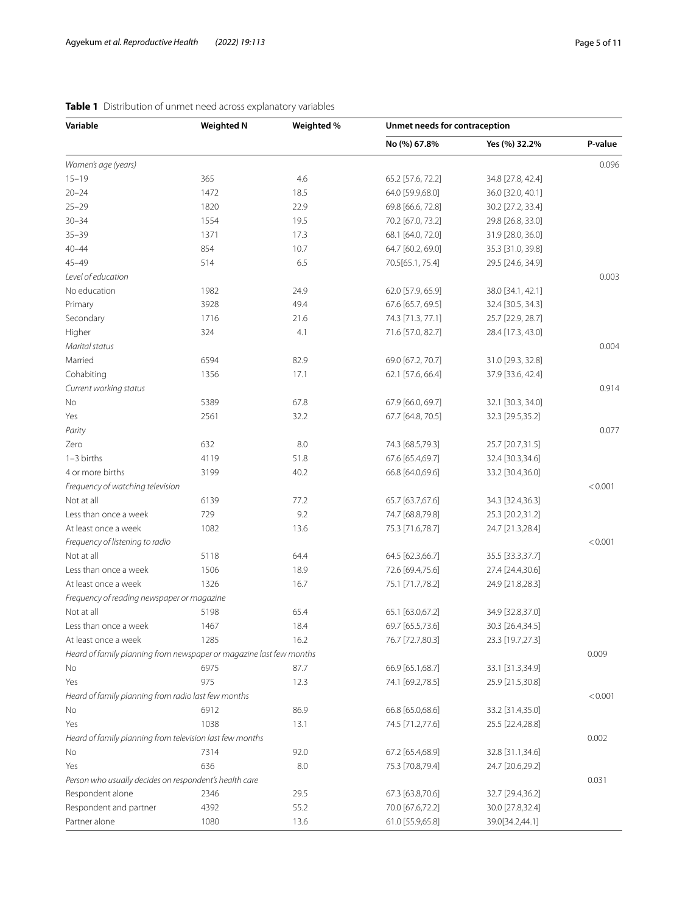| Variable                                                            | <b>Weighted N</b> | Weighted % | Unmet needs for contraception |                   |         |
|---------------------------------------------------------------------|-------------------|------------|-------------------------------|-------------------|---------|
|                                                                     |                   |            | No (%) 67.8%                  | Yes (%) 32.2%     | P-value |
| Women's age (years)                                                 |                   |            |                               |                   | 0.096   |
| $15 - 19$                                                           | 365               | 4.6        | 65.2 [57.6, 72.2]             | 34.8 [27.8, 42.4] |         |
| $20 - 24$                                                           | 1472              | 18.5       | 64.0 [59.9,68.0]              | 36.0 [32.0, 40.1] |         |
| $25 - 29$                                                           | 1820              | 22.9       | 69.8 [66.6, 72.8]             | 30.2 [27.2, 33.4] |         |
| $30 - 34$                                                           | 1554              | 19.5       | 70.2 [67.0, 73.2]             | 29.8 [26.8, 33.0] |         |
| $35 - 39$                                                           | 1371              | 17.3       | 68.1 [64.0, 72.0]             | 31.9 [28.0, 36.0] |         |
| $40 - 44$                                                           | 854               | 10.7       | 64.7 [60.2, 69.0]             | 35.3 [31.0, 39.8] |         |
| $45 - 49$                                                           | 514               | 6.5        | 70.5[65.1, 75.4]              | 29.5 [24.6, 34.9] |         |
| Level of education                                                  |                   |            |                               |                   | 0.003   |
| No education                                                        | 1982              | 24.9       | 62.0 [57.9, 65.9]             | 38.0 [34.1, 42.1] |         |
| Primary                                                             | 3928              | 49.4       | 67.6 [65.7, 69.5]             | 32.4 [30.5, 34.3] |         |
| Secondary                                                           | 1716              | 21.6       | 74.3 [71.3, 77.1]             | 25.7 [22.9, 28.7] |         |
| Higher                                                              | 324               | 4.1        | 71.6 [57.0, 82.7]             | 28.4 [17.3, 43.0] |         |
| Marital status                                                      |                   |            |                               |                   | 0.004   |
| Married                                                             | 6594              | 82.9       | 69.0 [67.2, 70.7]             | 31.0 [29.3, 32.8] |         |
| Cohabiting                                                          | 1356              | 17.1       | 62.1 [57.6, 66.4]             | 37.9 [33.6, 42.4] |         |
| Current working status                                              |                   |            |                               |                   | 0.914   |
| No                                                                  | 5389              | 67.8       | 67.9 [66.0, 69.7]             | 32.1 [30.3, 34.0] |         |
| Yes                                                                 | 2561              | 32.2       | 67.7 [64.8, 70.5]             | 32.3 [29.5,35.2]  |         |
| Parity                                                              |                   |            |                               |                   | 0.077   |
| Zero                                                                | 632               | 8.0        | 74.3 [68.5,79.3]              | 25.7 [20.7,31.5]  |         |
| $1-3$ births                                                        | 4119              | 51.8       | 67.6 [65.4,69.7]              | 32.4 [30.3,34.6]  |         |
| 4 or more births                                                    | 3199              | 40.2       | 66.8 [64.0,69.6]              | 33.2 [30.4,36.0]  |         |
| Frequency of watching television                                    |                   |            |                               |                   | < 0.001 |
| Not at all                                                          | 6139              | 77.2       | 65.7 [63.7,67.6]              | 34.3 [32.4,36.3]  |         |
| Less than once a week                                               | 729               | 9.2        |                               |                   |         |
| At least once a week                                                | 1082              | 13.6       | 74.7 [68.8,79.8]              | 25.3 [20.2,31.2]  |         |
|                                                                     |                   |            | 75.3 [71.6,78.7]              | 24.7 [21.3,28.4]  | < 0.001 |
| Frequency of listening to radio                                     |                   |            |                               |                   |         |
| Not at all                                                          | 5118              | 64.4       | 64.5 [62.3,66.7]              | 35.5 [33.3,37.7]  |         |
| Less than once a week                                               | 1506              | 18.9       | 72.6 [69.4,75.6]              | 27.4 [24.4,30.6]  |         |
| At least once a week                                                | 1326              | 16.7       | 75.1 [71.7,78.2]              | 24.9 [21.8,28.3]  |         |
| Frequency of reading newspaper or magazine                          |                   |            |                               |                   |         |
| Not at all                                                          | 5198              | 65.4       | 65.1 [63.0,67.2]              | 34.9 [32.8,37.0]  |         |
| Less than once a week                                               | 1467              | 18.4       | 69.7 [65.5,73.6]              | 30.3 [26.4,34.5]  |         |
| At least once a week                                                | 1285              | 16.2       | 76.7 [72.7,80.3]              | 23.3 [19.7,27.3]  |         |
| Heard of family planning from newspaper or magazine last few months |                   |            |                               |                   | 0.009   |
| No                                                                  | 6975              | 87.7       | 66.9 [65.1,68.7]              | 33.1 [31.3,34.9]  |         |
| Yes                                                                 | 975               | 12.3       | 74.1 [69.2,78.5]              | 25.9 [21.5,30.8]  |         |
| Heard of family planning from radio last few months                 |                   |            |                               |                   | < 0.001 |
| No                                                                  | 6912              | 86.9       | 66.8 [65.0,68.6]              | 33.2 [31.4,35.0]  |         |
| Yes                                                                 | 1038              | 13.1       | 74.5 [71.2,77.6]              | 25.5 [22.4,28.8]  |         |
| Heard of family planning from television last few months            |                   |            |                               |                   | 0.002   |
| No                                                                  | 7314              | 92.0       | 67.2 [65.4,68.9]              | 32.8 [31.1,34.6]  |         |
| Yes                                                                 | 636               | 8.0        | 75.3 [70.8,79.4]              | 24.7 [20.6,29.2]  |         |
| Person who usually decides on respondent's health care              |                   |            |                               |                   | 0.031   |
| Respondent alone                                                    | 2346              | 29.5       | 67.3 [63.8,70.6]              | 32.7 [29.4,36.2]  |         |
| Respondent and partner                                              | 4392              | 55.2       | 70.0 [67.6,72.2]              | 30.0 [27.8,32.4]  |         |
| Partner alone                                                       | 1080              | 13.6       | 61.0 [55.9,65.8]              | 39.0[34.2,44.1]   |         |

# <span id="page-4-0"></span>**Table 1** Distribution of unmet need across explanatory variables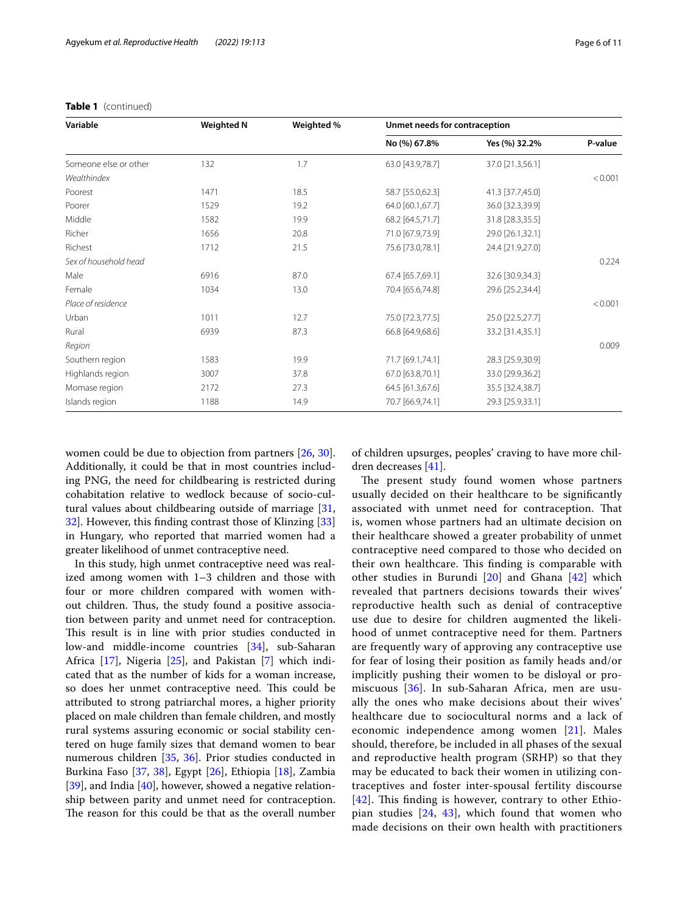| Variable              | <b>Weighted N</b> | Weighted % | Unmet needs for contraception |                  |         |
|-----------------------|-------------------|------------|-------------------------------|------------------|---------|
|                       |                   |            | No (%) 67.8%                  | Yes (%) 32.2%    | P-value |
| Someone else or other | 132               | 1.7        | 63.0 [43.9,78.7]              | 37.0 [21.3,56.1] |         |
| Wealthindex           |                   |            |                               |                  | < 0.001 |
| Poorest               | 1471              | 18.5       | 58.7 [55.0,62.3]              | 41.3 [37.7,45.0] |         |
| Poorer                | 1529              | 19.2       | 64.0 [60.1,67.7]              | 36.0 [32.3,39.9] |         |
| Middle                | 1582              | 19.9       | 68.2 [64.5,71.7]              | 31.8 [28.3,35.5] |         |
| Richer                | 1656              | 20.8       | 71.0 [67.9,73.9]              | 29.0 [26.1,32.1] |         |
| Richest               | 1712              | 21.5       | 75.6 [73.0,78.1]              | 24.4 [21.9,27.0] |         |
| Sex of household head |                   |            |                               |                  | 0.224   |
| Male                  | 6916              | 87.0       | 67.4 [65.7,69.1]              | 32.6 [30.9,34.3] |         |
| Female                | 1034              | 13.0       | 70.4 [65.6,74.8]              | 29.6 [25.2,34.4] |         |
| Place of residence    |                   |            |                               |                  | < 0.001 |
| Urban                 | 1011              | 12.7       | 75.0 [72.3,77.5]              | 25.0 [22.5,27.7] |         |
| Rural                 | 6939              | 87.3       | 66.8 [64.9,68.6]              | 33.2 [31.4,35.1] |         |
| Region                |                   |            |                               |                  | 0.009   |
| Southern region       | 1583              | 19.9       | 71.7 [69.1,74.1]              | 28.3 [25.9,30.9] |         |
| Highlands region      | 3007              | 37.8       | 67.0 [63.8,70.1]              | 33.0 [29.9,36.2] |         |
| Momase region         | 2172              | 27.3       | 64.5 [61.3,67.6]              | 35.5 [32.4,38.7] |         |
| Islands region        | 1188              | 14.9       | 70.7 [66.9,74.1]              | 29.3 [25.9,33.1] |         |

# **Table 1** (continued)

women could be due to objection from partners [\[26](#page-9-24), [30](#page-9-29)]. Additionally, it could be that in most countries including PNG, the need for childbearing is restricted during cohabitation relative to wedlock because of socio-cultural values about childbearing outside of marriage [\[31](#page-9-30), [32\]](#page-9-31). However, this fnding contrast those of Klinzing [[33](#page-9-32)] in Hungary, who reported that married women had a greater likelihood of unmet contraceptive need.

In this study, high unmet contraceptive need was realized among women with 1–3 children and those with four or more children compared with women without children. Thus, the study found a positive association between parity and unmet need for contraception. This result is in line with prior studies conducted in low-and middle-income countries [[34\]](#page-9-33), sub-Saharan Africa [[17\]](#page-9-28), Nigeria [\[25](#page-9-23)], and Pakistan [\[7](#page-9-6)] which indicated that as the number of kids for a woman increase, so does her unmet contraceptive need. This could be attributed to strong patriarchal mores, a higher priority placed on male children than female children, and mostly rural systems assuring economic or social stability centered on huge family sizes that demand women to bear numerous children [[35,](#page-9-34) [36\]](#page-9-35). Prior studies conducted in Burkina Faso [\[37](#page-9-36), [38\]](#page-9-37), Egypt [\[26](#page-9-24)], Ethiopia [[18](#page-9-17)], Zambia [[39\]](#page-10-0), and India [\[40\]](#page-10-1), however, showed a negative relationship between parity and unmet need for contraception. The reason for this could be that as the overall number

of children upsurges, peoples' craving to have more children decreases [[41\]](#page-10-2).

The present study found women whose partners usually decided on their healthcare to be signifcantly associated with unmet need for contraception. Tat is, women whose partners had an ultimate decision on their healthcare showed a greater probability of unmet contraceptive need compared to those who decided on their own healthcare. This finding is comparable with other studies in Burundi [\[20\]](#page-9-18) and Ghana [\[42](#page-10-3)] which revealed that partners decisions towards their wives' reproductive health such as denial of contraceptive use due to desire for children augmented the likelihood of unmet contraceptive need for them. Partners are frequently wary of approving any contraceptive use for fear of losing their position as family heads and/or implicitly pushing their women to be disloyal or promiscuous [[36](#page-9-35)]. In sub-Saharan Africa, men are usually the ones who make decisions about their wives' healthcare due to sociocultural norms and a lack of economic independence among women [[21\]](#page-9-19). Males should, therefore, be included in all phases of the sexual and reproductive health program (SRHP) so that they may be educated to back their women in utilizing contraceptives and foster inter-spousal fertility discourse  $[42]$  $[42]$  $[42]$ . This finding is however, contrary to other Ethiopian studies [[24,](#page-9-22) [43](#page-10-4)], which found that women who made decisions on their own health with practitioners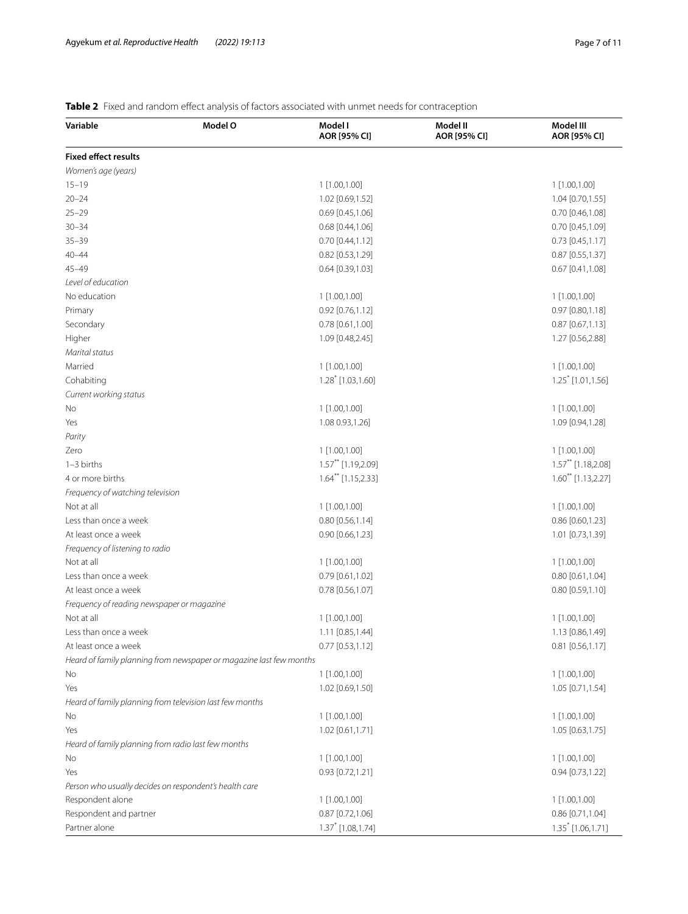# <span id="page-6-0"></span>**Table 2** Fixed and random effect analysis of factors associated with unmet needs for contraception

| Variable                                               | Model O                                                             | Model I<br>AOR [95% CI]          | Model II<br>AOR [95% CI] | Model III<br>AOR [95% CI]       |
|--------------------------------------------------------|---------------------------------------------------------------------|----------------------------------|--------------------------|---------------------------------|
| <b>Fixed effect results</b>                            |                                                                     |                                  |                          |                                 |
| Women's age (years)                                    |                                                                     |                                  |                          |                                 |
| $15 - 19$                                              |                                                                     | 1 [1.00,1.00]                    |                          | 1 [1.00,1.00]                   |
| $20 - 24$                                              |                                                                     | 1.02 [0.69,1.52]                 |                          | 1.04 [0.70,1.55]                |
| $25 - 29$                                              |                                                                     | $0.69$ [0.45,1.06]               |                          | $0.70$ [0.46,1.08]              |
| $30 - 34$                                              |                                                                     | 0.68 [0.44,1.06]                 |                          | $0.70$ [0.45,1.09]              |
| $35 - 39$                                              |                                                                     | $0.70$ [0.44,1.12]               |                          | $0.73$ [0.45,1.17]              |
| $40 - 44$                                              |                                                                     | 0.82 [0.53,1.29]                 |                          | 0.87 [0.55,1.37]                |
| $45 - 49$                                              |                                                                     | $0.64$ [0.39,1.03]               |                          | $0.67$ [0.41,1.08]              |
| Level of education                                     |                                                                     |                                  |                          |                                 |
| No education                                           |                                                                     | 1 [1.00,1.00]                    |                          | 1 [1.00,1.00]                   |
| Primary                                                |                                                                     | 0.92 [0.76,1.12]                 |                          | $0.97$ $[0.80, 1.18]$           |
| Secondary                                              |                                                                     | 0.78 [0.61,1.00]                 |                          | $0.87$ [0.67,1.13]              |
| Higher                                                 |                                                                     | 1.09 [0.48,2.45]                 |                          | 1.27 [0.56,2.88]                |
| Marital status                                         |                                                                     |                                  |                          |                                 |
| Married                                                |                                                                     | 1 [1.00,1.00]                    |                          | 1 [1.00,1.00]                   |
| Cohabiting                                             |                                                                     | $1.28$ [1.03,1.60]               |                          | $1.25$ <sup>*</sup> [1.01,1.56] |
| Current working status                                 |                                                                     |                                  |                          |                                 |
| No                                                     |                                                                     | 1 [1.00,1.00]                    |                          | 1 [1.00,1.00]                   |
| Yes                                                    |                                                                     | 1.08 0.93, 1.26]                 |                          | 1.09 [0.94,1.28]                |
| Parity                                                 |                                                                     |                                  |                          |                                 |
| Zero                                                   |                                                                     | 1 [1.00,1.00]                    |                          | 1 [1.00,1.00]                   |
| $1-3$ births                                           |                                                                     | $1.57$ ** [1.19,2.09]            |                          | $1.57$ ** [1.18,2.08]           |
| 4 or more births                                       |                                                                     | $1.64$ <sup>**</sup> [1.15,2.33] |                          | $1.60^{**}$ [1.13,2.27]         |
| Frequency of watching television                       |                                                                     |                                  |                          |                                 |
| Not at all                                             |                                                                     | 1 [1.00,1.00]                    |                          | 1 [1.00,1.00]                   |
| Less than once a week                                  |                                                                     | $0.80$ [0.56,1.14]               |                          | 0.86 [0.60,1.23]                |
| At least once a week                                   |                                                                     | $0.90$ $[0.66, 1.23]$            |                          | 1.01 [0.73,1.39]                |
| Frequency of listening to radio                        |                                                                     |                                  |                          |                                 |
| Not at all                                             |                                                                     | 1 [1.00,1.00]                    |                          | 1 [1.00,1.00]                   |
| Less than once a week                                  |                                                                     | $0.79$ [0.61,1.02]               |                          | 0.80 [0.61,1.04]                |
| At least once a week                                   |                                                                     | 0.78 [0.56,1.07]                 |                          | $0.80$ [0.59,1.10]              |
| Frequency of reading newspaper or magazine             |                                                                     |                                  |                          |                                 |
| Not at all                                             |                                                                     | 1 [1.00,1.00]                    |                          | 1 [1.00,1.00]                   |
| Less than once a week                                  |                                                                     | 1.11 [0.85,1.44]                 |                          | 1.13 [0.86,1.49]                |
| At least once a week                                   |                                                                     | $0.77$ [0.53,1.12]               |                          | $0.81$ [0.56,1.17]              |
|                                                        | Heard of family planning from newspaper or magazine last few months |                                  |                          |                                 |
| No                                                     |                                                                     | 1 [1.00,1.00]                    |                          | 1 [1.00,1.00]                   |
| Yes                                                    |                                                                     | 1.02 [0.69,1.50]                 |                          | 1.05 [0.71,1.54]                |
|                                                        | Heard of family planning from television last few months            |                                  |                          |                                 |
| No                                                     |                                                                     | 1 [1.00,1.00]                    |                          | 1 [1.00,1.00]                   |
| Yes                                                    |                                                                     | 1.02 [0.61,1.71]                 |                          | 1.05 [0.63,1.75]                |
| Heard of family planning from radio last few months    |                                                                     |                                  |                          |                                 |
| No                                                     |                                                                     | 1 [1.00,1.00]                    |                          | 1 [1.00,1.00]                   |
| Yes                                                    |                                                                     | 0.93 [0.72,1.21]                 |                          | $0.94$ [0.73,1.22]              |
| Person who usually decides on respondent's health care |                                                                     |                                  |                          |                                 |
| Respondent alone                                       |                                                                     | 1 [1.00,1.00]                    |                          | 1 [1.00,1.00]                   |
| Respondent and partner                                 |                                                                     | $0.87$ [0.72,1.06]               |                          | 0.86 [0.71,1.04]                |
| Partner alone                                          |                                                                     | $1.37$ [1.08,1.74]               |                          | 1.35 * [1.06, 1.71]             |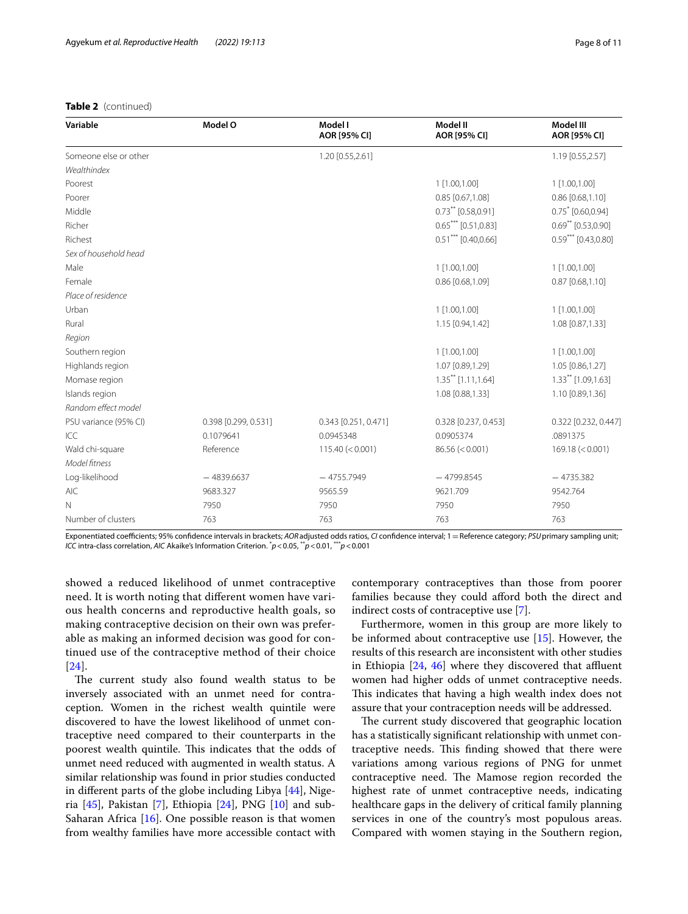# **Table 2** (continued)

| Variable              | Model O              | Model I<br>AOR [95% CI] | Model II<br>AOR [95% CI] | Model III<br>AOR [95% CI] |
|-----------------------|----------------------|-------------------------|--------------------------|---------------------------|
| Someone else or other |                      | 1.20 [0.55,2.61]        |                          | 1.19 [0.55,2.57]          |
| Wealthindex           |                      |                         |                          |                           |
| Poorest               |                      |                         | 1 [1.00,1.00]            | 1 [1.00,1.00]             |
| Poorer                |                      |                         | 0.85 [0.67,1.08]         | $0.86$ [0.68,1.10]        |
| Middle                |                      |                         | $0.73$ ** [0.58,0.91]    | $0.75$ [0.60,0.94]        |
| Richer                |                      |                         | $0.65***$ [0.51,0.83]    | $0.69$ ** [0.53,0.90]     |
| Richest               |                      |                         | $0.51***$ [0.40,0.66]    | $0.59***$ [0.43,0.80]     |
| Sex of household head |                      |                         |                          |                           |
| Male                  |                      |                         | 1 [1.00,1.00]            | 1 [1.00,1.00]             |
| Female                |                      |                         | 0.86 [0.68,1.09]         | $0.87$ [0.68,1.10]        |
| Place of residence    |                      |                         |                          |                           |
| Urban                 |                      |                         | 1 [1.00,1.00]            | 1 [1.00,1.00]             |
| Rural                 |                      |                         | 1.15 [0.94,1.42]         | 1.08 [0.87,1.33]          |
| Region                |                      |                         |                          |                           |
| Southern region       |                      |                         | 1 [1.00,1.00]            | 1 [1.00,1.00]             |
| Highlands region      |                      |                         | 1.07 [0.89,1.29]         | 1.05 [0.86,1.27]          |
| Momase region         |                      |                         | $1.35***$ [1.11,1.64]    | $1.33***$ [1.09,1.63]     |
| Islands region        |                      |                         | 1.08 [0.88,1.33]         | 1.10 [0.89,1.36]          |
| Random effect model   |                      |                         |                          |                           |
| PSU variance (95% CI) | 0.398 [0.299, 0.531] | 0.343 [0.251, 0.471]    | 0.328 [0.237, 0.453]     | 0.322 [0.232, 0.447]      |
| ICC                   | 0.1079641            | 0.0945348               | 0.0905374                | .0891375                  |
| Wald chi-square       | Reference            | 115.40 (< 0.001)        | 86.56 (< 0.001)          | 169.18 (< 0.001)          |
| Model fitness         |                      |                         |                          |                           |
| Log-likelihood        | $-4839.6637$         | $-4755.7949$            | $-4799.8545$             | $-4735.382$               |
| <b>AIC</b>            | 9683.327             | 9565.59                 | 9621.709                 | 9542.764                  |
| $\mathbb N$           | 7950                 | 7950                    | 7950                     | 7950                      |
| Number of clusters    | 763                  | 763                     | 763                      | 763                       |

Exponentiated coefficients; 95% confidence intervals in brackets; *AOR* adjusted odds ratios, *CI* confidence interval; 1 = Reference category; *PSU* primary sampling unit; *ICC* intra-class correlation, *AIC* Akaike's Information Criterion. \* *p*<0.05, \*\**p*<0.01, \*\*\**p*<0.001

showed a reduced likelihood of unmet contraceptive need. It is worth noting that diferent women have various health concerns and reproductive health goals, so making contraceptive decision on their own was preferable as making an informed decision was good for continued use of the contraceptive method of their choice [[24](#page-9-22)].

The current study also found wealth status to be inversely associated with an unmet need for contraception. Women in the richest wealth quintile were discovered to have the lowest likelihood of unmet contraceptive need compared to their counterparts in the poorest wealth quintile. This indicates that the odds of unmet need reduced with augmented in wealth status. A similar relationship was found in prior studies conducted in diferent parts of the globe including Libya [[44](#page-10-5)], Nigeria [[45](#page-10-6)], Pakistan [\[7](#page-9-6)], Ethiopia [\[24](#page-9-22)], PNG [[10\]](#page-9-9) and sub-Saharan Africa [[16\]](#page-9-15). One possible reason is that women from wealthy families have more accessible contact with contemporary contraceptives than those from poorer families because they could afford both the direct and indirect costs of contraceptive use [\[7](#page-9-6)].

Furthermore, women in this group are more likely to be informed about contraceptive use [\[15\]](#page-9-14). However, the results of this research are inconsistent with other studies in Ethiopia  $[24, 46]$  $[24, 46]$  $[24, 46]$  $[24, 46]$  $[24, 46]$  where they discovered that affluent women had higher odds of unmet contraceptive needs. This indicates that having a high wealth index does not assure that your contraception needs will be addressed.

The current study discovered that geographic location has a statistically signifcant relationship with unmet contraceptive needs. This finding showed that there were variations among various regions of PNG for unmet contraceptive need. The Mamose region recorded the highest rate of unmet contraceptive needs, indicating healthcare gaps in the delivery of critical family planning services in one of the country's most populous areas. Compared with women staying in the Southern region,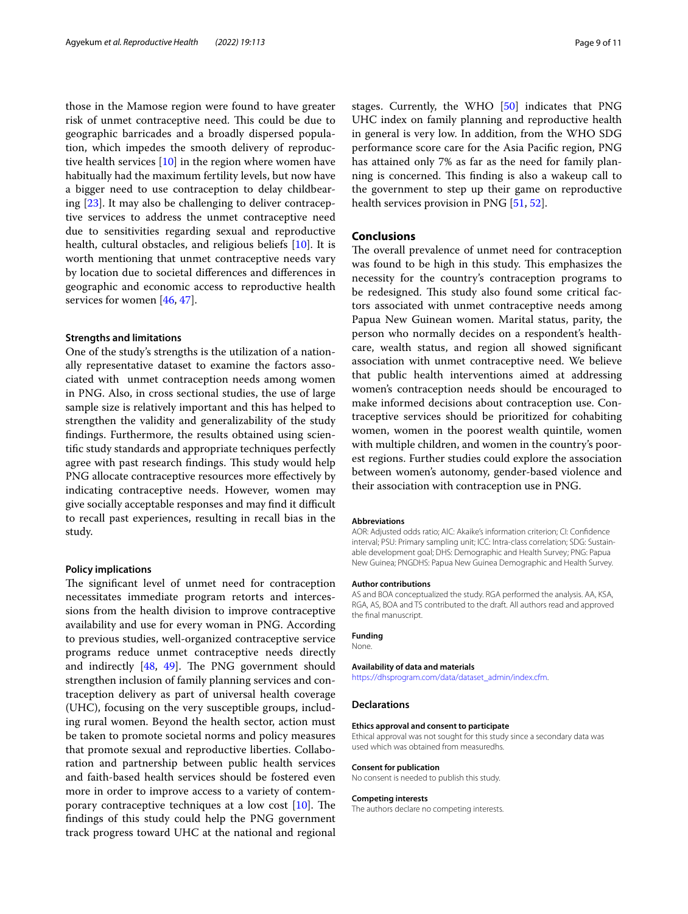those in the Mamose region were found to have greater risk of unmet contraceptive need. This could be due to geographic barricades and a broadly dispersed population, which impedes the smooth delivery of reproductive health services [[10](#page-9-9)] in the region where women have habitually had the maximum fertility levels, but now have a bigger need to use contraception to delay childbearing [[23](#page-9-21)]. It may also be challenging to deliver contraceptive services to address the unmet contraceptive need due to sensitivities regarding sexual and reproductive health, cultural obstacles, and religious beliefs [[10\]](#page-9-9). It is worth mentioning that unmet contraceptive needs vary by location due to societal diferences and diferences in geographic and economic access to reproductive health services for women [\[46,](#page-10-7) [47](#page-10-8)].

#### **Strengths and limitations**

One of the study's strengths is the utilization of a nationally representative dataset to examine the factors associated with unmet contraception needs among women in PNG. Also, in cross sectional studies, the use of large sample size is relatively important and this has helped to strengthen the validity and generalizability of the study fndings. Furthermore, the results obtained using scientifc study standards and appropriate techniques perfectly agree with past research findings. This study would help PNG allocate contraceptive resources more effectively by indicating contraceptive needs. However, women may give socially acceptable responses and may find it difficult to recall past experiences, resulting in recall bias in the study.

#### **Policy implications**

The significant level of unmet need for contraception necessitates immediate program retorts and intercessions from the health division to improve contraceptive availability and use for every woman in PNG. According to previous studies, well-organized contraceptive service programs reduce unmet contraceptive needs directly and indirectly  $[48, 49]$  $[48, 49]$  $[48, 49]$ . The PNG government should strengthen inclusion of family planning services and contraception delivery as part of universal health coverage (UHC), focusing on the very susceptible groups, including rural women. Beyond the health sector, action must be taken to promote societal norms and policy measures that promote sexual and reproductive liberties. Collaboration and partnership between public health services and faith-based health services should be fostered even more in order to improve access to a variety of contemporary contraceptive techniques at a low cost  $[10]$  $[10]$ . The fndings of this study could help the PNG government track progress toward UHC at the national and regional stages. Currently, the WHO [\[50](#page-10-11)] indicates that PNG UHC index on family planning and reproductive health in general is very low. In addition, from the WHO SDG performance score care for the Asia Pacifc region, PNG has attained only 7% as far as the need for family planning is concerned. This finding is also a wakeup call to the government to step up their game on reproductive health services provision in PNG [\[51](#page-10-12), [52\]](#page-10-13).

# **Conclusions**

The overall prevalence of unmet need for contraception was found to be high in this study. This emphasizes the necessity for the country's contraception programs to be redesigned. This study also found some critical factors associated with unmet contraceptive needs among Papua New Guinean women. Marital status, parity, the person who normally decides on a respondent's healthcare, wealth status, and region all showed signifcant association with unmet contraceptive need. We believe that public health interventions aimed at addressing women's contraception needs should be encouraged to make informed decisions about contraception use. Contraceptive services should be prioritized for cohabiting women, women in the poorest wealth quintile, women with multiple children, and women in the country's poorest regions. Further studies could explore the association between women's autonomy, gender-based violence and their association with contraception use in PNG.

#### **Abbreviations**

AOR: Adjusted odds ratio; AIC: Akaike's information criterion; CI: Confdence interval; PSU: Primary sampling unit; ICC: Intra-class correlation; SDG: Sustainable development goal; DHS: Demographic and Health Survey; PNG: Papua New Guinea; PNGDHS: Papua New Guinea Demographic and Health Survey.

#### **Author contributions**

AS and BOA conceptualized the study. RGA performed the analysis. AA, KSA, RGA, AS, BOA and TS contributed to the draft. All authors read and approved the fnal manuscript.

## **Funding**

# None.

# **Availability of data and materials**

[https://dhsprogram.com/data/dataset\\_admin/index.cfm.](https://dhsprogram.com/data/dataset_admin/index.cfm)

# **Declarations**

#### **Ethics approval and consent to participate**

Ethical approval was not sought for this study since a secondary data was used which was obtained from measuredhs.

#### **Consent for publication**

No consent is needed to publish this study.

#### **Competing interests**

The authors declare no competing interests.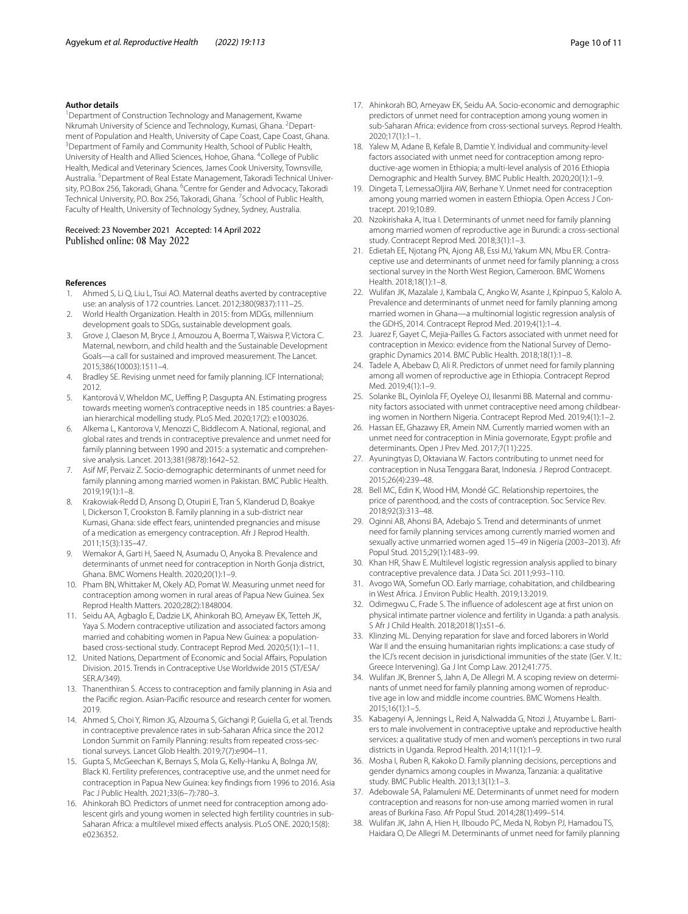#### **Author details**

<sup>1</sup> Department of Construction Technology and Management, Kwame Nkrumah University of Science and Technology, Kumasi, Ghana. <sup>2</sup>Department of Population and Health, University of Cape Coast, Cape Coast, Ghana. 3 <sup>3</sup> Department of Family and Community Health, School of Public Health, University of Health and Allied Sciences, Hohoe, Ghana. <sup>4</sup>College of Public Health, Medical and Veterinary Sciences, James Cook University, Townsville, Australia. <sup>5</sup> Department of Real Estate Management, Takoradi Technical University, P.O.Box 256, Takoradi, Ghana. <sup>6</sup>Centre for Gender and Advocacy, Takoradi Technical University, P.O. Box 256, Takoradi, Ghana. <sup>7</sup> School of Public Health, Faculty of Health, University of Technology Sydney, Sydney, Australia.

Received: 23 November 2021 Accepted: 14 April 2022 Published online: 08 May 2022

#### **References**

- <span id="page-9-0"></span>1. Ahmed S, Li Q, Liu L, Tsui AO. Maternal deaths averted by contraceptive use: an analysis of 172 countries. Lancet. 2012;380(9837):111–25.
- <span id="page-9-1"></span>2. World Health Organization. Health in 2015: from MDGs, millennium development goals to SDGs, sustainable development goals.
- <span id="page-9-2"></span>Grove J, Claeson M, Bryce J, Amouzou A, Boerma T, Waiswa P, Victora C. Maternal, newborn, and child health and the Sustainable Development Goals—a call for sustained and improved measurement. The Lancet. 2015;386(10003):1511–4.
- <span id="page-9-3"></span>4. Bradley SE. Revising unmet need for family planning. ICF International; 2012.
- <span id="page-9-4"></span>5. Kantorová V, Wheldon MC, Ueffing P, Dasgupta AN. Estimating progress towards meeting women's contraceptive needs in 185 countries: a Bayesian hierarchical modelling study. PLoS Med. 2020;17(2): e1003026.
- <span id="page-9-5"></span>6. Alkema L, Kantorova V, Menozzi C, Biddlecom A. National, regional, and global rates and trends in contraceptive prevalence and unmet need for family planning between 1990 and 2015: a systematic and comprehensive analysis. Lancet. 2013;381(9878):1642–52.
- <span id="page-9-6"></span>7. Asif MF, Pervaiz Z. Socio-demographic determinants of unmet need for family planning among married women in Pakistan. BMC Public Health. 2019;19(1):1–8.
- <span id="page-9-7"></span>8. Krakowiak-Redd D, Ansong D, Otupiri E, Tran S, Klanderud D, Boakye I, Dickerson T, Crookston B. Family planning in a sub-district near Kumasi, Ghana: side efect fears, unintended pregnancies and misuse of a medication as emergency contraception. Afr J Reprod Health. 2011;15(3):135–47.
- <span id="page-9-8"></span>9. Wemakor A, Garti H, Saeed N, Asumadu O, Anyoka B. Prevalence and determinants of unmet need for contraception in North Gonja district, Ghana. BMC Womens Health. 2020;20(1):1–9.
- <span id="page-9-9"></span>10. Pham BN, Whittaker M, Okely AD, Pomat W. Measuring unmet need for contraception among women in rural areas of Papua New Guinea. Sex Reprod Health Matters. 2020;28(2):1848004.
- <span id="page-9-10"></span>11. Seidu AA, Agbaglo E, Dadzie LK, Ahinkorah BO, Ameyaw EK, Tetteh JK, Yaya S. Modern contraceptive utilization and associated factors among married and cohabiting women in Papua New Guinea: a populationbased cross-sectional study. Contracept Reprod Med. 2020;5(1):1–11.
- <span id="page-9-11"></span>12. United Nations, Department of Economic and Social Afairs, Population Division. 2015. Trends in Contraceptive Use Worldwide 2015 (ST/ESA/ SER.A/349).
- <span id="page-9-12"></span>13. Thanenthiran S. Access to contraception and family planning in Asia and the Pacifc region. Asian-Pacifc resource and research center for women. 2019.
- <span id="page-9-13"></span>14. Ahmed S, Choi Y, Rimon JG, Alzouma S, Gichangi P, Guiella G, et al. Trends in contraceptive prevalence rates in sub-Saharan Africa since the 2012 London Summit on Family Planning: results from repeated cross-sectional surveys. Lancet Glob Health. 2019;7(7):e904–11.
- <span id="page-9-14"></span>15. Gupta S, McGeechan K, Bernays S, Mola G, Kelly-Hanku A, Bolnga JW, Black KI. Fertility preferences, contraceptive use, and the unmet need for contraception in Papua New Guinea: key fndings from 1996 to 2016. Asia Pac J Public Health. 2021;33(6–7):780–3.
- <span id="page-9-15"></span>16. Ahinkorah BO. Predictors of unmet need for contraception among adolescent girls and young women in selected high fertility countries in sub-Saharan Africa: a multilevel mixed efects analysis. PLoS ONE. 2020;15(8): e0236352.
- <span id="page-9-28"></span>17. Ahinkorah BO, Ameyaw EK, Seidu AA. Socio-economic and demographic predictors of unmet need for contraception among young women in sub-Saharan Africa: evidence from cross-sectional surveys. Reprod Health. 2020;17(1):1–1.
- <span id="page-9-17"></span>18. Yalew M, Adane B, Kefale B, Damtie Y. Individual and community-level factors associated with unmet need for contraception among reproductive-age women in Ethiopia; a multi-level analysis of 2016 Ethiopia Demographic and Health Survey. BMC Public Health. 2020;20(1):1–9.
- <span id="page-9-16"></span>19. Dingeta T, LemessaOljira AW, Berhane Y. Unmet need for contraception among young married women in eastern Ethiopia. Open Access J Contracept. 2019;10:89.
- <span id="page-9-18"></span>20. Nzokirishaka A, Itua I. Determinants of unmet need for family planning among married women of reproductive age in Burundi: a cross-sectional study. Contracept Reprod Med. 2018;3(1):1–3.
- <span id="page-9-19"></span>21. Edietah EE, Njotang PN, Ajong AB, Essi MJ, Yakum MN, Mbu ER. Contraceptive use and determinants of unmet need for family planning; a cross sectional survey in the North West Region, Cameroon. BMC Womens Health. 2018;18(1):1–8.
- <span id="page-9-20"></span>22. Wulifan JK, Mazalale J, Kambala C, Angko W, Asante J, Kpinpuo S, Kalolo A. Prevalence and determinants of unmet need for family planning among married women in Ghana—a multinomial logistic regression analysis of the GDHS, 2014. Contracept Reprod Med. 2019;4(1):1–4.
- <span id="page-9-21"></span>23. Juarez F, Gayet C, Mejia-Pailles G. Factors associated with unmet need for contraception in Mexico: evidence from the National Survey of Demographic Dynamics 2014. BMC Public Health. 2018;18(1):1–8.
- <span id="page-9-22"></span>24. Tadele A, Abebaw D, Ali R. Predictors of unmet need for family planning among all women of reproductive age in Ethiopia. Contracept Reprod Med. 2019;4(1):1–9.
- <span id="page-9-23"></span>25. Solanke BL, Oyinlola FF, Oyeleye OJ, Ilesanmi BB. Maternal and community factors associated with unmet contraceptive need among childbearing women in Northern Nigeria. Contracept Reprod Med. 2019;4(1):1–2.
- <span id="page-9-24"></span>26. Hassan EE, Ghazawy ER, Amein NM. Currently married women with an unmet need for contraception in Minia governorate, Egypt: profle and determinants. Open J Prev Med. 2017;7(11):225.
- <span id="page-9-25"></span>27. Ayuningtyas D, Oktaviana W. Factors contributing to unmet need for contraception in Nusa Tenggara Barat, Indonesia. J Reprod Contracept. 2015;26(4):239–48.
- <span id="page-9-26"></span>28. Bell MC, Edin K, Wood HM, Mondé GC. Relationship repertoires, the price of parenthood, and the costs of contraception. Soc Service Rev. 2018;92(3):313–48.
- <span id="page-9-27"></span>29. Oginni AB, Ahonsi BA, Adebajo S. Trend and determinants of unmet need for family planning services among currently married women and sexually active unmarried women aged 15–49 in Nigeria (2003–2013). Afr Popul Stud. 2015;29(1):1483–99.
- <span id="page-9-29"></span>30. Khan HR, Shaw E. Multilevel logistic regression analysis applied to binary contraceptive prevalence data. J Data Sci. 2011;9:93–110.
- <span id="page-9-30"></span>31. Avogo WA, Somefun OD. Early marriage, cohabitation, and childbearing in West Africa. J Environ Public Health. 2019;13:2019.
- <span id="page-9-31"></span>32. Odimegwu C, Frade S. The infuence of adolescent age at frst union on physical intimate partner violence and fertility in Uganda: a path analysis. S Afr J Child Health. 2018;2018(1):s51–6.
- <span id="page-9-32"></span>33. Klinzing ML. Denying reparation for slave and forced laborers in World War II and the ensuing humanitarian rights implications: a case study of the ICJ's recent decision in jurisdictional immunities of the state (Ger. V. It.: Greece Intervening). Ga J Int Comp Law. 2012;41:775.
- <span id="page-9-33"></span>34. Wulifan JK, Brenner S, Jahn A, De Allegri M. A scoping review on determinants of unmet need for family planning among women of reproductive age in low and middle income countries. BMC Womens Health. 2015;16(1):1–5.
- <span id="page-9-34"></span>35. Kabagenyi A, Jennings L, Reid A, Nalwadda G, Ntozi J, Atuyambe L. Barriers to male involvement in contraceptive uptake and reproductive health services: a qualitative study of men and women's perceptions in two rural districts in Uganda. Reprod Health. 2014;11(1):1–9.
- <span id="page-9-35"></span>36. Mosha I, Ruben R, Kakoko D. Family planning decisions, perceptions and gender dynamics among couples in Mwanza, Tanzania: a qualitative study. BMC Public Health. 2013;13(1):1–3.
- <span id="page-9-36"></span>37. Adebowale SA, Palamuleni ME. Determinants of unmet need for modern contraception and reasons for non-use among married women in rural areas of Burkina Faso. Afr Popul Stud. 2014;28(1):499–514.
- <span id="page-9-37"></span>38. Wulifan JK, Jahn A, Hien H, Ilboudo PC, Meda N, Robyn PJ, Hamadou TS, Haidara O, De Allegri M. Determinants of unmet need for family planning